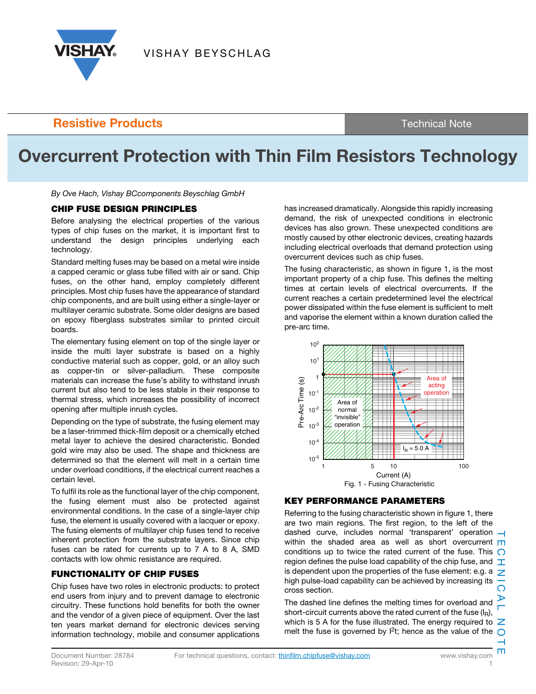

### **Resistive Products** Technical Note

# **Overcurrent Protection with Thin Film Resistors Technology**

 $B_1$  over  $B_2$  and  $B_3$  are  $B_4$  denotes Beys has  $B_4$ 

#### **CHIP FUSE DESIGN PRINCIPLES**

Before analysing the electrical properties of the various types of chip fuses on the market, it is important first to understand the design principles underlying each technology.

Standard melting fuses may be based on a metal wire inside a capped ceramic or glass tube filled with air or sand. Chip fuses, on the other hand, employ completely different principles. Most chip fuses have the appearance of standard chip components, and are built using either a single-layer or multilayer ceramic substrate. Some older designs are based on epoxy fiberglass substrates similar to printed circuit boards.

The elementary fusing element on top of the single layer or inside the multi layer substrate is based on a highly conductive material such as copper, gold, or an alloy such as copper-tin or silver-palladium. These composite materials can increase the fuse's ability to withstand inrush current but also tend to be less stable in their response to thermal stress, which increases the possibility of incorrect opening after multiple inrush cycles.

Depending on the type of substrate, the fusing element may be a laser-trimmed thick-film deposit or a chemically etched metal layer to achieve the desired characteristic. Bonded gold wire may also be used. The shape and thickness are determined so that the element will melt in a certain time under overload conditions, if the electrical current reaches a certain level.

To fulfil its role as the functional layer of the chip component, the fusing element must also be protected against environmental conditions. In the case of a single-layer chip fuse, the element is usually covered with a lacquer or epoxy. The fusing elements of multilayer chip fuses tend to receive inherent protection from the substrate layers. Since chip fuses can be rated for currents up to 7 A to 8 A, SMD contacts with low ohmic resistance are required.

#### **FUNCTIONALITY OF CHIP FUSES**

Chip fuses have two roles in electronic products: to protect end users from injury and to prevent damage to electronic circuitry. These functions hold benefits for both the owner and the vendor of a given piece of equipment. Over the last ten years market demand for electronic devices serving information technology, mobile and consumer applications

has increased dramatically. Alongside this rapidly increasing demand, the risk of unexpected conditions in electronic devices has also grown. These unexpected conditions are mostly caused by other electronic devices, creating hazards including electrical overloads that demand protection using overcurrent devices such as chip fuses.

The fusing characteristic, as shown in figure 1, is the most important property of a chip fuse. This defines the melting times at certain levels of electrical overcurrents. If the current reaches a certain predetermined level the electrical power dissipated within the fuse element is sufficient to melt and vaporise the element within a known duration called the pre-arc time.



### **KEY PERFORMANCE PARAMETERS**

Referring to the fusing characteristic shown in figure 1, there are two main regions. The first region, to the left of the dashed curve, includes normal 'transparent' operation within the shaded area as well as short overcurrent  $\blacksquare$ conditions up to twice the rated current of the fuse. This  $\bigcap$ region defines the pulse load capability of the chip fuse, and  $\top$ is dependent upon the properties of the fuse element: e.g. a  $\overline{Z}$ high pulse-load capability can be achieved by increasing its cross section.

The dashed line defines the melting times for overload and short-circuit currents above the rated current of the fuse  $(I_R)$ , which is 5 A for the fuse illustrated. The energy required to  $\mathbb Z$ melt the fuse is governed by  $1^2$ t; hence as the value of the  $\bigcap$ 

ш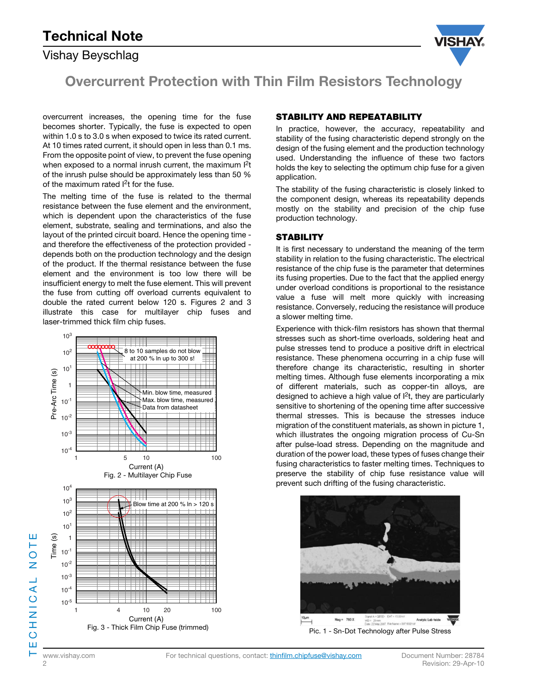# **Technical Note**

### Vishay Beyschlag



**Overcurrent Protection with Thin Film Resistors Technology**

overcurrent increases, the opening time for the fuse becomes shorter. Typically, the fuse is expected to open within 1.0 s to 3.0 s when exposed to twice its rated current. At 10 times rated current, it should open in less than 0.1 ms. From the opposite point of view, to prevent the fuse opening when exposed to a normal inrush current, the maximum  $12t$ of the inrush pulse should be approximately less than 50 % of the maximum rated I2t for the fuse.

The melting time of the fuse is related to the thermal resistance between the fuse element and the environment, which is dependent upon the characteristics of the fuse element, substrate, sealing and terminations, and also the layout of the printed circuit board. Hence the opening time and therefore the effectiveness of the protection provided depends both on the production technology and the design of the product. If the thermal resistance between the fuse element and the environment is too low there will be insufficient energy to melt the fuse element. This will prevent the fuse from cutting off overload currents equivalent to double the rated current below 120 s. Figures 2 and 3 illustrate this case for multilayer chip fuses and laser-trimmed thick film chip fuses.



#### **STABILITY AND REPEATABILITY**

In practice, however, the accuracy, repeatability and stability of the fusing characteristic depend strongly on the design of the fusing element and the production technology used. Understanding the influence of these two factors holds the key to selecting the optimum chip fuse for a given application.

The stability of the fusing characteristic is closely linked to the component design, whereas its repeatability depends mostly on the stability and precision of the chip fuse production technology.

#### **STABILITY**

It is first necessary to understand the meaning of the term stability in relation to the fusing characteristic. The electrical resistance of the chip fuse is the parameter that determines its fusing properties. Due to the fact that the applied energy under overload conditions is proportional to the resistance value a fuse will melt more quickly with increasing resistance. Conversely, reducing the resistance will produce a slower melting time.

Experience with thick-film resistors has shown that thermal stresses such as short-time overloads, soldering heat and pulse stresses tend to produce a positive drift in electrical resistance. These phenomena occurring in a chip fuse will therefore change its characteristic, resulting in shorter melting times. Although fuse elements incorporating a mix of different materials, such as copper-tin alloys, are designed to achieve a high value of  $l^2t$ , they are particularly sensitive to shortening of the opening time after successive thermal stresses. This is because the stresses induce migration of the constituent materials, as shown in picture 1, which illustrates the ongoing migration process of Cu-Sn after pulse-load stress. Depending on the magnitude and duration of the power load, these types of fuses change their fusing characteristics to faster melting times. Techniques to preserve the stability of chip fuse resistance value will prevent such drifting of the fusing characteristic.



Pic. 1 - Sn-Dot Technology after Pulse Stress

TECHNICAL NOTE .<br>N<br>N CHNICAL Ш

ш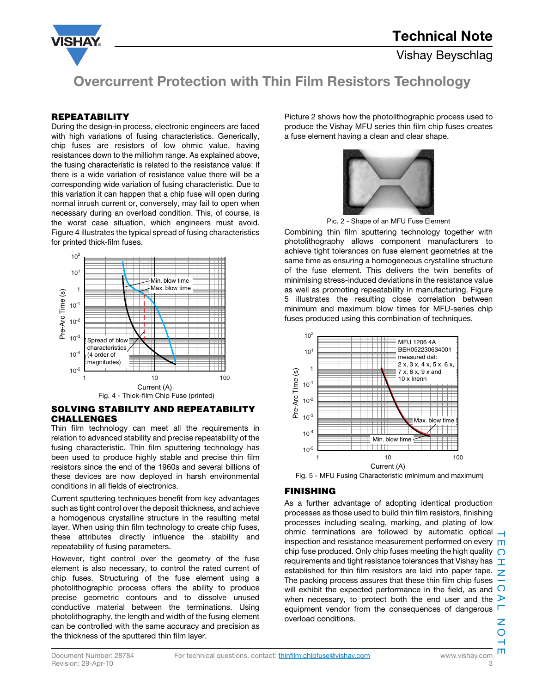

## **Overcurrent Protection with Thin Film Resistors Technology**

#### **REPEATABILITY**

During the design-in process, electronic engineers are faced with high variations of fusing characteristics. Generically, chip fuses are resistors of low ohmic value, having resistances down to the milliohm range. As explained above, the fusing characteristic is related to the resistance value: if there is a wide variation of resistance value there will be a corresponding wide variation of fusing characteristic. Due to this variation it can happen that a chip fuse will open during normal inrush current or, conversely, may fail to open when necessary during an overload condition. This, of course, is the worst case situation, which engineers must avoid. Figure 4 illustrates the typical spread of fusing characteristics for printed thick-film fuses.



#### **SOLVING STABILITY AND REPEATABILITY CHALLENGES**

Thin film technology can meet all the requirements in relation to advanced stability and precise repeatability of the fusing characteristic. Thin film sputtering technology has been used to produce highly stable and precise thin film resistors since the end of the 1960s and several billions of these devices are now deployed in harsh environmental conditions in all fields of electronics.

Current sputtering techniques benefit from key advantages such as tight control over the deposit thickness, and achieve a homogenous crystalline structure in the resulting metal layer. When using thin film technology to create chip fuses, these attributes directly influence the stability and repeatability of fusing parameters.

However, tight control over the geometry of the fuse element is also necessary, to control the rated current of chip fuses. Structuring of the fuse element using a photolithographic process offers the ability to produce precise geometric contours and to dissolve unused conductive material between the terminations. Using photolithography, the length and width of the fusing element can be controlled with the same accuracy and precision as the thickness of the sputtered thin film layer.

Picture 2 shows how the photolithographic process used to produce the Vishay MFU series thin film chip fuses creates a fuse element having a clean and clear shape.



Pic. 2 - Shape of an MFU Fuse Element

Combining thin film sputtering technology together with photolithography allows component manufacturers to achieve tight tolerances on fuse element geometries at the same time as ensuring a homogeneous crystalline structure of the fuse element. This delivers the twin benefits of minimising stress-induced deviations in the resistance value as well as promoting repeatability in manufacturing. Figure 5 illustrates the resulting close correlation between minimum and maximum blow times for MFU-series chip fuses produced using this combination of techniques.



#### **FINISHING**

As a further advantage of adopting identical production processes as those used to build thin film resistors, finishing processes including sealing, marking, and plating of low ohmic terminations are followed by automatic optical  $\rightarrow$ inspection and resistance measurement performed on every  $\Box$ chip fuse produced. Only chip fuses meeting the high quality  $\bigcirc$ requirements and tight resistance tolerances that Vishay has  $\top$ established for thin film resistors are laid into paper tape.  $\overline{Z}$ The packing process assures that these thin film chip fuses  $\overline{-}$ will exhibit the expected performance in the field, as and  $\bigcirc$ when necessary, to protect both the end user and the  $\triangleright$ equipment vendor from the consequences of dangerous overload conditions.